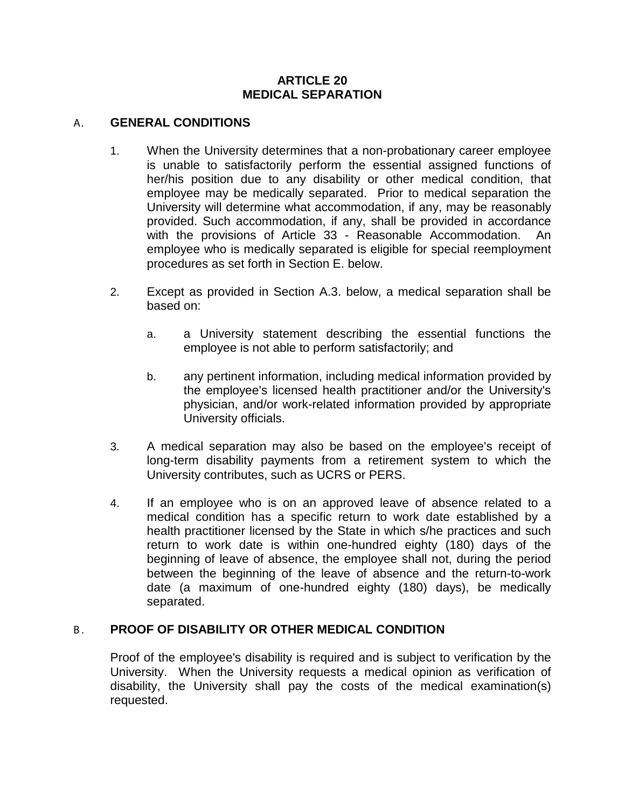#### **ARTICLE 20 MEDICAL SEPARATION**

#### A. **GENERAL CONDITIONS**

- 1. When the University determines that a non-probationary career employee is unable to satisfactorily perform the essential assigned functions of her/his position due to any disability or other medical condition, that employee may be medically separated. Prior to medical separation the University will determine what accommodation, if any, may be reasonably provided. Such accommodation, if any, shall be provided in accordance with the provisions of Article 33 - Reasonable Accommodation. An employee who is medically separated is eligible for special reemployment procedures as set forth in Section E. below.
- 2. Except as provided in Section A.3. below, a medical separation shall be based on:
	- a. a University statement describing the essential functions the employee is not able to perform satisfactorily; and
	- b. any pertinent information, including medical information provided by the employee's licensed health practitioner and/or the University's physician, and/or work-related information provided by appropriate University officials.
- 3. A medical separation may also be based on the employee's receipt of long-term disability payments from a retirement system to which the University contributes, such as UCRS or PERS.
- 4. If an employee who is on an approved leave of absence related to a medical condition has a specific return to work date established by a health practitioner licensed by the State in which s/he practices and such return to work date is within one-hundred eighty (180) days of the beginning of leave of absence, the employee shall not, during the period between the beginning of the leave of absence and the return-to-work date (a maximum of one-hundred eighty (180) days), be medically separated.

### B. **PROOF OF DISABILITY OR OTHER MEDICAL CONDITION**

Proof of the employee's disability is required and is subject to verification by the University. When the University requests a medical opinion as verification of disability, the University shall pay the costs of the medical examination(s) requested.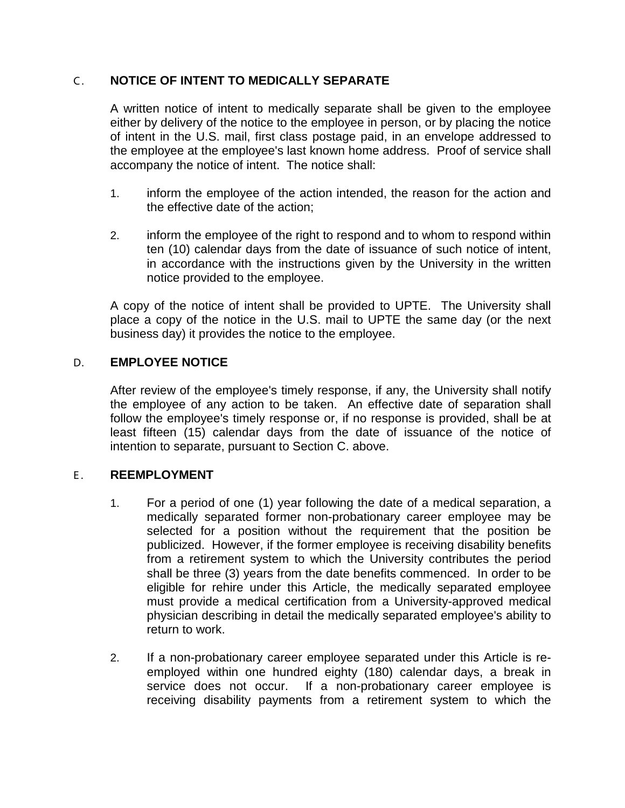# C . **NOTICE OF INTENT TO MEDICALLY SEPARATE**

A written notice of intent to medically separate shall be given to the employee either by delivery of the notice to the employee in person, or by placing the notice of intent in the U.S. mail, first class postage paid, in an envelope addressed to the employee at the employee's last known home address. Proof of service shall accompany the notice of intent. The notice shall:

- 1. inform the employee of the action intended, the reason for the action and the effective date of the action;
- 2. inform the employee of the right to respond and to whom to respond within ten (10) calendar days from the date of issuance of such notice of intent, in accordance with the instructions given by the University in the written notice provided to the employee.

A copy of the notice of intent shall be provided to UPTE. The University shall place a copy of the notice in the U.S. mail to UPTE the same day (or the next business day) it provides the notice to the employee.

# D. **EMPLOYEE NOTICE**

After review of the employee's timely response, if any, the University shall notify the employee of any action to be taken. An effective date of separation shall follow the employee's timely response or, if no response is provided, shall be at least fifteen (15) calendar days from the date of issuance of the notice of intention to separate, pursuant to Section C. above.

### E. **REEMPLOYMENT**

- 1. For a period of one (1) year following the date of a medical separation, a medically separated former non-probationary career employee may be selected for a position without the requirement that the position be publicized. However, if the former employee is receiving disability benefits from a retirement system to which the University contributes the period shall be three (3) years from the date benefits commenced. In order to be eligible for rehire under this Article, the medically separated employee must provide a medical certification from a University-approved medical physician describing in detail the medically separated employee's ability to return to work.
- 2. If a non-probationary career employee separated under this Article is reemployed within one hundred eighty (180) calendar days, a break in service does not occur. If a non-probationary career emplovee is receiving disability payments from a retirement system to which the